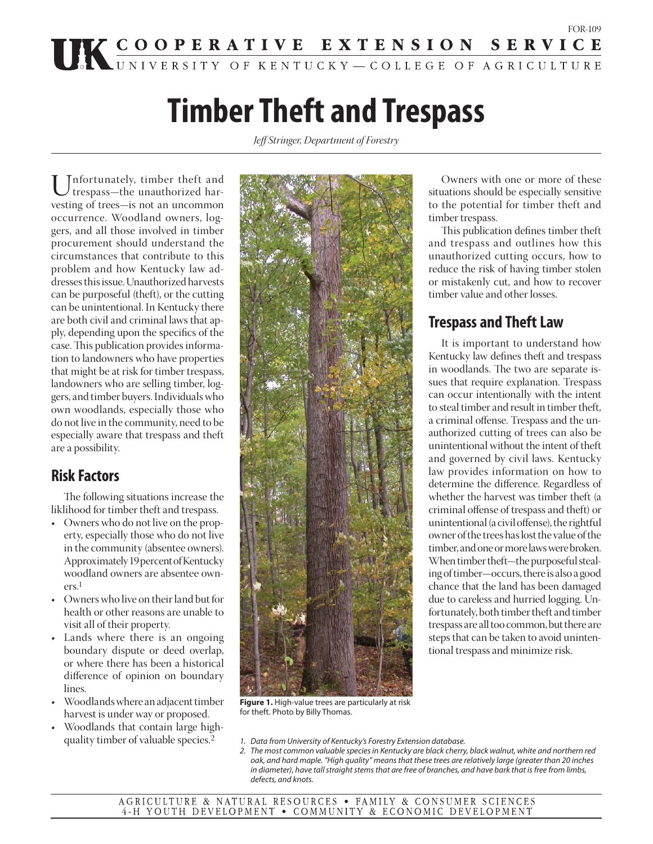# **Timber Theft and Trespass**

*Jeff Stringer, Department of Forestry*

Unfortunately, timber theft and trespass—the unauthorized harvesting of trees—is not an uncommon occurrence. Woodland owners, loggers, and all those involved in timber procurement should understand the circumstances that contribute to this problem and how Kentucky law addresses this issue. Unauthorized harvests can be purposeful (theft), or the cutting can be unintentional. In Kentucky there are both civil and criminal laws that apply, depending upon the specifics of the case. This publication provides information to landowners who have properties that might be at risk for timber trespass, landowners who are selling timber, loggers, and timber buyers. Individuals who own woodlands, especially those who do not live in the community, need to be especially aware that trespass and theft are a possibility.

## **Risk Factors**

The following situations increase the liklihood for timber theft and trespass.

- Owners who do not live on the property, especially those who do not live in the community (absentee owners). Approximately 19 percent of Kentucky woodland owners are absentee owners.1
- Owners who live on their land but for health or other reasons are unable to visit all of their property.
- Lands where there is an ongoing boundary dispute or deed overlap, or where there has been a historical difference of opinion on boundary lines.
- Woodlands where an adjacent timber harvest is under way or proposed.
- Woodlands that contain large highquality timber of valuable species.2



**Figure 1.** High-value trees are particularly at risk for theft. Photo by Billy Thomas.

 Owners with one or more of these situations should be especially sensitive to the potential for timber theft and timber trespass.

This publication defines timber theft and trespass and outlines how this unauthorized cutting occurs, how to reduce the risk of having timber stolen or mistakenly cut, and how to recover timber value and other losses.

## **Trespass and Theft Law**

 It is important to understand how Kentucky law defines theft and trespass in woodlands. The two are separate issues that require explanation. Trespass can occur intentionally with the intent to steal timber and result in timber theft, a criminal offense. Trespass and the unauthorized cutting of trees can also be unintentional without the intent of theft and governed by civil laws. Kentucky law provides information on how to determine the difference. Regardless of whether the harvest was timber theft (a criminal offense of trespass and theft) or unintentional (a civil offense), the rightful owner of the trees has lost the value of the timber, and one or more laws were broken. When timber theft—the purposeful stealing of timber—occurs, there is also a good chance that the land has been damaged due to careless and hurried logging. Unfortunately, both timber theft and timber trespass are all too common, but there are steps that can be taken to avoid unintentional trespass and minimize risk.

- 1. Data from University of Kentucky's Forestry Extension database.
- 2. The most common valuable species in Kentucky are black cherry, black walnut, white and northern red oak, and hard maple. "High quality" means that these trees are relatively large (greater than 20 inches in diameter), have tall straight stems that are free of branches, and have bark that is free from limbs, defects, and knots.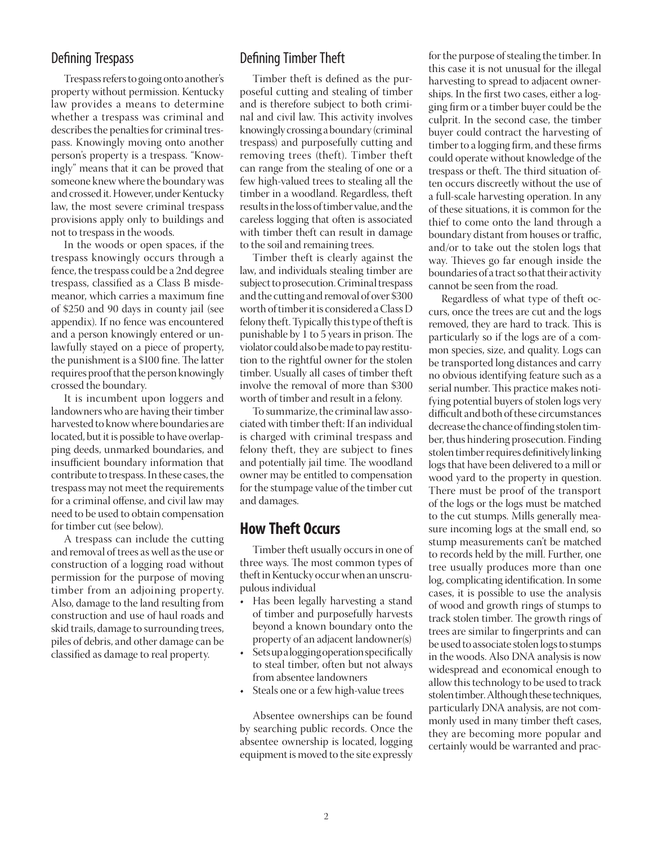#### Defining Trespass

 Trespass refers to going onto another's property without permission. Kentucky law provides a means to determine whether a trespass was criminal and describes the penalties for criminal trespass. Knowingly moving onto another person's property is a trespass. "Knowingly" means that it can be proved that someone knew where the boundary was and crossed it. However, under Kentucky law, the most severe criminal trespass provisions apply only to buildings and not to trespass in the woods.

 In the woods or open spaces, if the trespass knowingly occurs through a fence, the trespass could be a 2nd degree trespass, classified as a Class B misdemeanor, which carries a maximum fine of \$250 and 90 days in county jail (see appendix). If no fence was encountered and a person knowingly entered or unlawfully stayed on a piece of property, the punishment is a \$100 fine. The latter requires proof that the person knowingly crossed the boundary.

 It is incumbent upon loggers and landowners who are having their timber harvested to know where boundaries are located, but it is possible to have overlapping deeds, unmarked boundaries, and insufficient boundary information that contribute to trespass. In these cases, the trespass may not meet the requirements for a criminal offense, and civil law may need to be used to obtain compensation for timber cut (see below).

 A trespass can include the cutting and removal of trees as well as the use or construction of a logging road without permission for the purpose of moving timber from an adjoining property. Also, damage to the land resulting from construction and use of haul roads and skid trails, damage to surrounding trees, piles of debris, and other damage can be classified as damage to real property.

#### Defining Timber Theft

Timber theft is defined as the purposeful cutting and stealing of timber and is therefore subject to both criminal and civil law. This activity involves knowingly crossing a boundary (criminal trespass) and purposefully cutting and removing trees (theft). Timber theft can range from the stealing of one or a few high-valued trees to stealing all the timber in a woodland. Regardless, theft results in the loss of timber value, and the careless logging that often is associated with timber theft can result in damage to the soil and remaining trees.

 Timber theft is clearly against the law, and individuals stealing timber are subject to prosecution. Criminal trespass and the cutting and removal of over \$300 worth of timber it is considered a Class D felony theft. Typically this type of theft is punishable by 1 to 5 years in prison. The violator could also be made to pay restitution to the rightful owner for the stolen timber. Usually all cases of timber theft involve the removal of more than \$300 worth of timber and result in a felony.

 To summarize, the criminal law associated with timber theft: If an individual is charged with criminal trespass and felony theft, they are subject to fines and potentially jail time. The woodland owner may be entitled to compensation for the stumpage value of the timber cut and damages.

#### **How Theft Occurs**

 Timber theft usually occurs in one of three ways. The most common types of theft in Kentucky occur when an unscrupulous individual

- Has been legally harvesting a stand of timber and purposefully harvests beyond a known boundary onto the property of an adjacent landowner(s)
- Sets up a logging operation specifically to steal timber, often but not always from absentee landowners
- Steals one or a few high-value trees

 Absentee ownerships can be found by searching public records. Once the absentee ownership is located, logging equipment is moved to the site expressly

for the purpose of stealing the timber. In this case it is not unusual for the illegal harvesting to spread to adjacent ownerships. In the first two cases, either a logging firm or a timber buyer could be the culprit. In the second case, the timber buyer could contract the harvesting of timber to a logging firm, and these firms could operate without knowledge of the trespass or theft. The third situation often occurs discreetly without the use of a full-scale harvesting operation. In any of these situations, it is common for the thief to come onto the land through a boundary distant from houses or traffic, and/or to take out the stolen logs that way. Thieves go far enough inside the boundaries of a tract so that their activity cannot be seen from the road.

 Regardless of what type of theft occurs, once the trees are cut and the logs removed, they are hard to track. This is particularly so if the logs are of a common species, size, and quality. Logs can be transported long distances and carry no obvious identifying feature such as a serial number. This practice makes notifying potential buyers of stolen logs very difficult and both of these circumstances decrease the chance of finding stolen timber, thus hindering prosecution. Finding stolen timber requires definitively linking logs that have been delivered to a mill or wood yard to the property in question. There must be proof of the transport of the logs or the logs must be matched to the cut stumps. Mills generally measure incoming logs at the small end, so stump measurements can't be matched to records held by the mill. Further, one tree usually produces more than one log, complicating identification. In some cases, it is possible to use the analysis of wood and growth rings of stumps to track stolen timber. The growth rings of trees are similar to fingerprints and can be used to associate stolen logs to stumps in the woods. Also DNA analysis is now widespread and economical enough to allow this technology to be used to track stolen timber. Although these techniques, particularly DNA analysis, are not commonly used in many timber theft cases, they are becoming more popular and certainly would be warranted and prac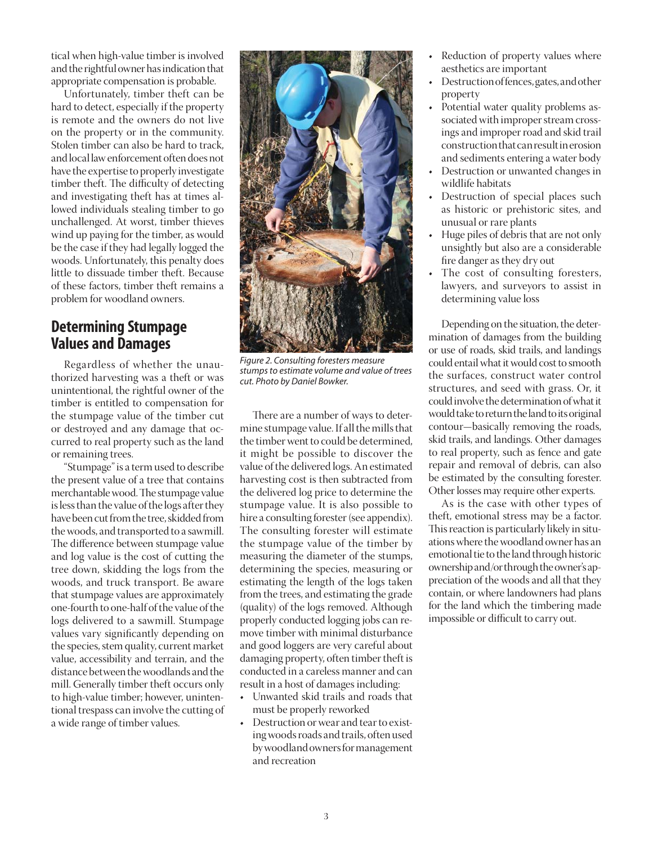tical when high-value timber is involved and the rightful owner has indication that appropriate compensation is probable.

 Unfortunately, timber theft can be hard to detect, especially if the property is remote and the owners do not live on the property or in the community. Stolen timber can also be hard to track, and local law enforcement often does not have the expertise to properly investigate timber theft. The difficulty of detecting and investigating theft has at times allowed individuals stealing timber to go unchallenged. At worst, timber thieves wind up paying for the timber, as would be the case if they had legally logged the woods. Unfortunately, this penalty does little to dissuade timber theft. Because of these factors, timber theft remains a problem for woodland owners.

#### **Determining Stumpage Values and Damages**

 Regardless of whether the unauthorized harvesting was a theft or was unintentional, the rightful owner of the timber is entitled to compensation for the stumpage value of the timber cut or destroyed and any damage that occurred to real property such as the land or remaining trees.

 "Stumpage" is a term used to describe the present value of a tree that contains merchantable wood. The stumpage value is less than the value of the logs after they have been cut from the tree, skidded from the woods, and transported to a sawmill. The difference between stumpage value and log value is the cost of cutting the tree down, skidding the logs from the woods, and truck transport. Be aware that stumpage values are approximately one-fourth to one-half of the value of the logs delivered to a sawmill. Stumpage values vary significantly depending on the species, stem quality, current market value, accessibility and terrain, and the distance between the woodlands and the mill. Generally timber theft occurs only to high-value timber; however, unintentional trespass can involve the cutting of a wide range of timber values.



Figure 2. Consulting foresters measure stumps to estimate volume and value of trees cut. Photo by Daniel Bowker.

There are a number of ways to determine stumpage value. If all the mills that the timber went to could be determined, it might be possible to discover the value of the delivered logs. An estimated harvesting cost is then subtracted from the delivered log price to determine the stumpage value. It is also possible to hire a consulting forester (see appendix). The consulting forester will estimate the stumpage value of the timber by measuring the diameter of the stumps, determining the species, measuring or estimating the length of the logs taken from the trees, and estimating the grade (quality) of the logs removed. Although properly conducted logging jobs can remove timber with minimal disturbance and good loggers are very careful about damaging property, often timber theft is conducted in a careless manner and can result in a host of damages including:

- Unwanted skid trails and roads that must be properly reworked
- Destruction or wear and tear to existing woods roads and trails, often used by woodland owners for management and recreation
- Reduction of property values where aesthetics are important
- Destruction of fences, gates, and other property
- Potential water quality problems associated with improper stream crossings and improper road and skid trail construction that can result in erosion and sediments entering a water body
- Destruction or unwanted changes in wildlife habitats
- Destruction of special places such as historic or prehistoric sites, and unusual or rare plants
- Huge piles of debris that are not only unsightly but also are a considerable fire danger as they dry out
- The cost of consulting foresters, lawyers, and surveyors to assist in determining value loss

 Depending on the situation, the determination of damages from the building or use of roads, skid trails, and landings could entail what it would cost to smooth the surfaces, construct water control structures, and seed with grass. Or, it could involve the determination of what it would take to return the land to its original contour—basically removing the roads, skid trails, and landings. Other damages to real property, such as fence and gate repair and removal of debris, can also be estimated by the consulting forester. Other losses may require other experts.

 As is the case with other types of theft, emotional stress may be a factor. This reaction is particularly likely in situations where the woodland owner has an emotional tie to the land through historic ownership and/or through the owner's appreciation of the woods and all that they contain, or where landowners had plans for the land which the timbering made impossible or difficult to carry out.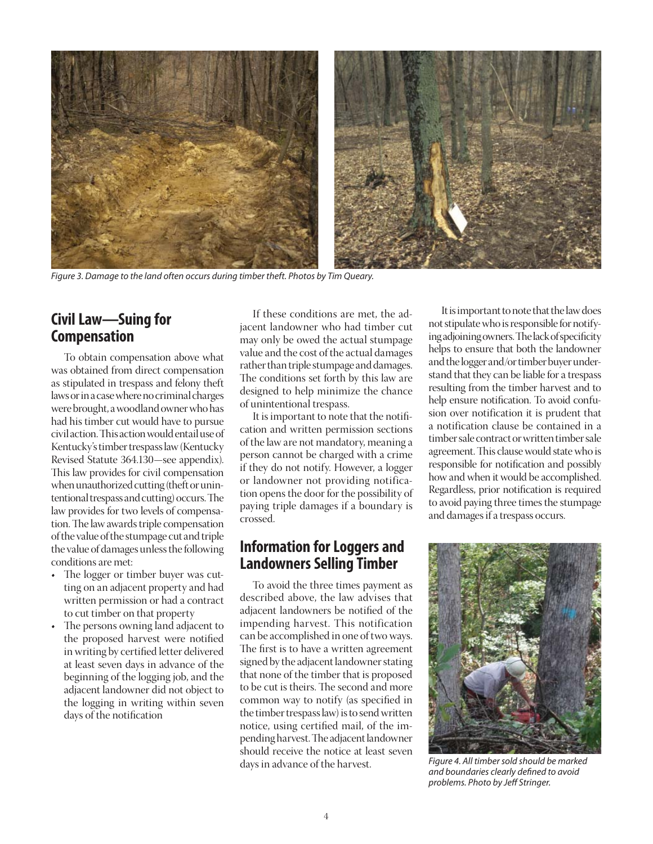

Figure 3. Damage to the land often occurs during timber theft. Photos by Tim Queary.

## **Civil Law—Suing for Compensation**

 To obtain compensation above what was obtained from direct compensation as stipulated in trespass and felony theft laws or in a case where no criminal charges were brought, a woodland owner who has had his timber cut would have to pursue civil action. This action would entail use of Kentucky's timber trespass law (Kentucky Revised Statute 364.130—see appendix). This law provides for civil compensation when unauthorized cutting (theft or unintentional trespass and cutting) occurs. The law provides for two levels of compensation. The law awards triple compensation of the value of the stumpage cut and triple the value of damages unless the following conditions are met:

- The logger or timber buyer was cutting on an adjacent property and had written permission or had a contract to cut timber on that property
- The persons owning land adjacent to the proposed harvest were notified in writing by certified letter delivered at least seven days in advance of the beginning of the logging job, and the adjacent landowner did not object to the logging in writing within seven days of the notification

 If these conditions are met, the adjacent landowner who had timber cut may only be owed the actual stumpage value and the cost of the actual damages rather than triple stumpage and damages. The conditions set forth by this law are designed to help minimize the chance of unintentional trespass.

It is important to note that the notification and written permission sections of the law are not mandatory, meaning a person cannot be charged with a crime if they do not notify. However, a logger or landowner not providing notification opens the door for the possibility of paying triple damages if a boundary is crossed.

## **Information for Loggers and Landowners Selling Timber**

 To avoid the three times payment as described above, the law advises that adjacent landowners be notified of the impending harvest. This notification can be accomplished in one of two ways. The first is to have a written agreement signed by the adjacent landowner stating that none of the timber that is proposed to be cut is theirs. The second and more common way to notify (as specified in the timber trespass law) is to send written notice, using certified mail, of the impending harvest. The adjacent landowner should receive the notice at least seven days in advance of the harvest.

 It is important to note that the law does not stipulate who is responsible for notifying adjoining owners. The lack of specificity helps to ensure that both the landowner and the logger and/or timber buyer understand that they can be liable for a trespass resulting from the timber harvest and to help ensure notification. To avoid confusion over notification it is prudent that a notification clause be contained in a timber sale contract or written timber sale agreement. This clause would state who is responsible for notification and possibly how and when it would be accomplished. Regardless, prior notification is required to avoid paying three times the stumpage and damages if a trespass occurs.



Figure 4. All timber sold should be marked and boundaries clearly defined to avoid problems. Photo by Jeff Stringer.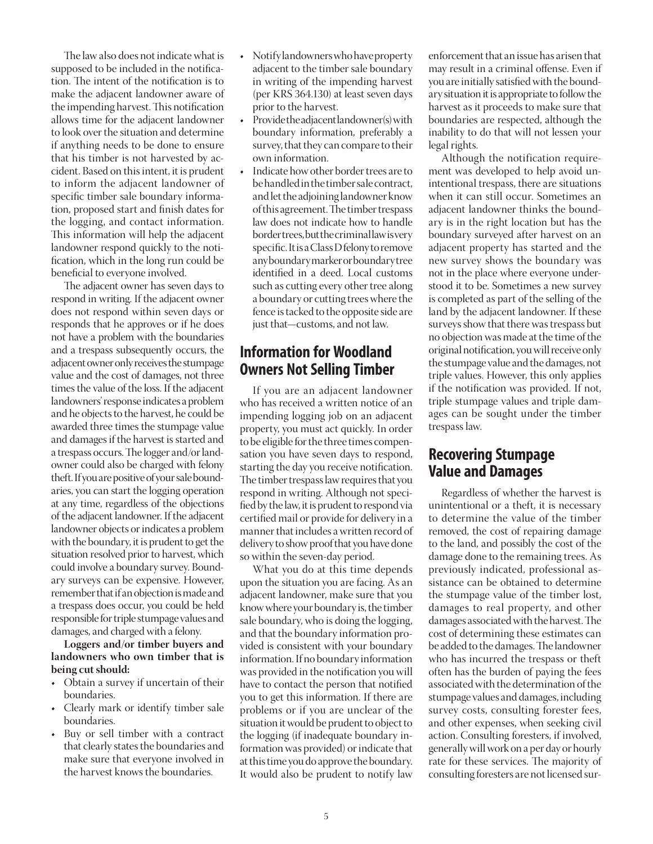The law also does not indicate what is supposed to be included in the notification. The intent of the notification is to make the adjacent landowner aware of the impending harvest. This notification allows time for the adjacent landowner to look over the situation and determine if anything needs to be done to ensure that his timber is not harvested by accident. Based on this intent, it is prudent to inform the adjacent landowner of specific timber sale boundary information, proposed start and finish dates for the logging, and contact information. This information will help the adjacent landowner respond quickly to the notification, which in the long run could be beneficial to everyone involved.

The adjacent owner has seven days to respond in writing. If the adjacent owner does not respond within seven days or responds that he approves or if he does not have a problem with the boundaries and a trespass subsequently occurs, the adjacent owner only receives the stumpage value and the cost of damages, not three times the value of the loss. If the adjacent landowners' response indicates a problem and he objects to the harvest, he could be awarded three times the stumpage value and damages if the harvest is started and a trespass occurs. The logger and/or landowner could also be charged with felony theft. If you are positive of your sale boundaries, you can start the logging operation at any time, regardless of the objections of the adjacent landowner. If the adjacent landowner objects or indicates a problem with the boundary, it is prudent to get the situation resolved prior to harvest, which could involve a boundary survey. Boundary surveys can be expensive. However, remember that if an objection is made and a trespass does occur, you could be held responsible for triple stumpage values and damages, and charged with a felony.

**Loggers and/or timber buyers and landowners who own timber that is being cut should:**

- Obtain a survey if uncertain of their boundaries.
- Clearly mark or identify timber sale boundaries.
- Buy or sell timber with a contract that clearly states the boundaries and make sure that everyone involved in the harvest knows the boundaries.
- Notify landowners who have property adjacent to the timber sale boundary in writing of the impending harvest (per KRS 364.130) at least seven days prior to the harvest.
- Provide the adjacent landowner(s) with boundary information, preferably a survey, that they can compare to their own information.
- Indicate how other border trees are to be handled in the timber sale contract, and let the adjoining landowner know of this agreement. The timber trespass law does not indicate how to handle border trees, but the criminal law is very specific. It is a Class D felony to remove any boundary marker or boundary tree identified in a deed. Local customs such as cutting every other tree along a boundary or cutting trees where the fence is tacked to the opposite side are just that—customs, and not law.

#### **Information for Woodland Owners Not Selling Timber**

 If you are an adjacent landowner who has received a written notice of an impending logging job on an adjacent property, you must act quickly. In order to be eligible for the three times compensation you have seven days to respond, starting the day you receive notification. The timber trespass law requires that you respond in writing. Although not specified by the law, it is prudent to respond via certified mail or provide for delivery in a manner that includes a written record of delivery to show proof that you have done so within the seven-day period.

 What you do at this time depends upon the situation you are facing. As an adjacent landowner, make sure that you know where your boundary is, the timber sale boundary, who is doing the logging, and that the boundary information provided is consistent with your boundary information. If no boundary information was provided in the notification you will have to contact the person that notified you to get this information. If there are problems or if you are unclear of the situation it would be prudent to object to the logging (if inadequate boundary information was provided) or indicate that at this time you do approve the boundary. It would also be prudent to notify law

enforcement that an issue has arisen that may result in a criminal offense. Even if you are initially satisfied with the boundary situation it is appropriate to follow the harvest as it proceeds to make sure that boundaries are respected, although the inability to do that will not lessen your legal rights.

 Although the notification requirement was developed to help avoid unintentional trespass, there are situations when it can still occur. Sometimes an adjacent landowner thinks the boundary is in the right location but has the boundary surveyed after harvest on an adjacent property has started and the new survey shows the boundary was not in the place where everyone understood it to be. Sometimes a new survey is completed as part of the selling of the land by the adjacent landowner. If these surveys show that there was trespass but no objection was made at the time of the original notification, you will receive only the stumpage value and the damages, not triple values. However, this only applies if the notification was provided. If not, triple stumpage values and triple damages can be sought under the timber trespass law.

#### **Recovering Stumpage Value and Damages**

 Regardless of whether the harvest is unintentional or a theft, it is necessary to determine the value of the timber removed, the cost of repairing damage to the land, and possibly the cost of the damage done to the remaining trees. As previously indicated, professional assistance can be obtained to determine the stumpage value of the timber lost, damages to real property, and other damages associated with the harvest. The cost of determining these estimates can be added to the damages. The landowner who has incurred the trespass or theft often has the burden of paying the fees associated with the determination of the stumpage values and damages, including survey costs, consulting forester fees, and other expenses, when seeking civil action. Consulting foresters, if involved, generally will work on a per day or hourly rate for these services. The majority of consulting foresters are not licensed sur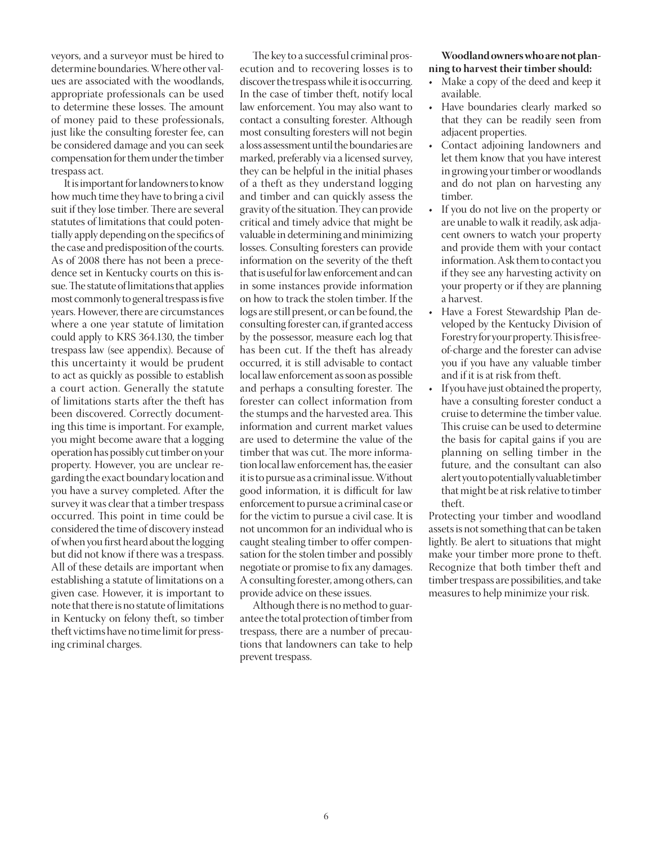veyors, and a surveyor must be hired to determine boundaries. Where other values are associated with the woodlands, appropriate professionals can be used to determine these losses. The amount of money paid to these professionals, just like the consulting forester fee, can be considered damage and you can seek compensation for them under the timber trespass act.

 It is important for landowners to know how much time they have to bring a civil suit if they lose timber. There are several statutes of limitations that could potentially apply depending on the specifics of the case and predisposition of the courts. As of 2008 there has not been a precedence set in Kentucky courts on this issue. The statute of limitations that applies most commonly to general trespass is five years. However, there are circumstances where a one year statute of limitation could apply to KRS 364.130, the timber trespass law (see appendix). Because of this uncertainty it would be prudent to act as quickly as possible to establish a court action. Generally the statute of limitations starts after the theft has been discovered. Correctly documenting this time is important. For example, you might become aware that a logging operation has possibly cut timber on your property. However, you are unclear regarding the exact boundary location and you have a survey completed. After the survey it was clear that a timber trespass occurred. This point in time could be considered the time of discovery instead of when you first heard about the logging but did not know if there was a trespass. All of these details are important when establishing a statute of limitations on a given case. However, it is important to note that there is no statute of limitations in Kentucky on felony theft, so timber theft victims have no time limit for pressing criminal charges.

The key to a successful criminal prosecution and to recovering losses is to discover the trespass while it is occurring. In the case of timber theft, notify local law enforcement. You may also want to contact a consulting forester. Although most consulting foresters will not begin a loss assessment until the boundaries are marked, preferably via a licensed survey, they can be helpful in the initial phases of a theft as they understand logging and timber and can quickly assess the gravity of the situation. They can provide critical and timely advice that might be valuable in determining and minimizing losses. Consulting foresters can provide information on the severity of the theft that is useful for law enforcement and can in some instances provide information on how to track the stolen timber. If the logs are still present, or can be found, the consulting forester can, if granted access by the possessor, measure each log that has been cut. If the theft has already occurred, it is still advisable to contact local law enforcement as soon as possible and perhaps a consulting forester. The forester can collect information from the stumps and the harvested area. This information and current market values are used to determine the value of the timber that was cut. The more information local law enforcement has, the easier it is to pursue as a criminal issue. Without good information, it is difficult for law enforcement to pursue a criminal case or for the victim to pursue a civil case. It is not uncommon for an individual who is caught stealing timber to offer compensation for the stolen timber and possibly negotiate or promise to fix any damages. A consulting forester, among others, can provide advice on these issues.

 Although there is no method to guarantee the total protection of timber from trespass, there are a number of precautions that landowners can take to help prevent trespass.

#### **Woodland owners who are not planning to harvest their timber should:**

- Make a copy of the deed and keep it available.
- Have boundaries clearly marked so that they can be readily seen from adjacent properties.
- Contact adjoining landowners and let them know that you have interest in growing your timber or woodlands and do not plan on harvesting any timber.
- If you do not live on the property or are unable to walk it readily, ask adjacent owners to watch your property and provide them with your contact information. Ask them to contact you if they see any harvesting activity on your property or if they are planning a harvest.
- Have a Forest Stewardship Plan developed by the Kentucky Division of Forestry for your property. This is freeof-charge and the forester can advise you if you have any valuable timber and if it is at risk from theft.
- If you have just obtained the property, have a consulting forester conduct a cruise to determine the timber value. This cruise can be used to determine the basis for capital gains if you are planning on selling timber in the future, and the consultant can also alert you to potentially valuable timber that might be at risk relative to timber theft.

Protecting your timber and woodland assets is not something that can be taken lightly. Be alert to situations that might make your timber more prone to theft. Recognize that both timber theft and timber trespass are possibilities, and take measures to help minimize your risk.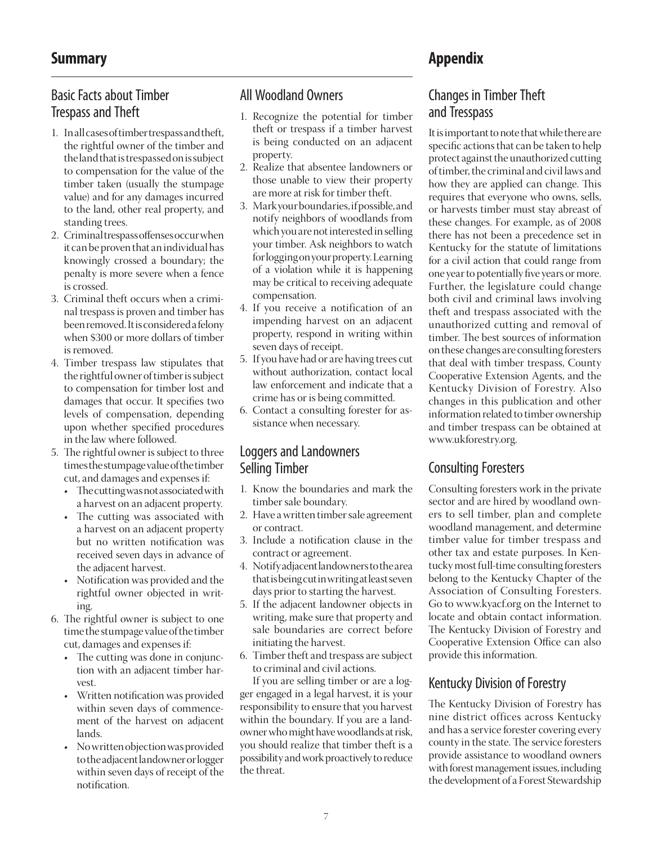## Basic Facts about Timber

## Trespass and Theft

- 1. In all cases of timber trespass and theft, the rightful owner of the timber and the land that is trespassed on is subject to compensation for the value of the timber taken (usually the stumpage value) and for any damages incurred to the land, other real property, and standing trees.
- 2. Criminal trespass offenses occur when it can be proven that an individual has knowingly crossed a boundary; the penalty is more severe when a fence is crossed.
- 3. Criminal theft occurs when a criminal trespass is proven and timber has been removed. It is considered a felony when \$300 or more dollars of timber is removed.
- 4. Timber trespass law stipulates that the rightful owner of timber is subject to compensation for timber lost and damages that occur. It specifies two levels of compensation, depending upon whether specified procedures in the law where followed.
- 5. The rightful owner is subject to three times the stumpage value of the timber cut, and damages and expenses if:
	- The cutting was not associated with a harvest on an adjacent property.
	- The cutting was associated with a harvest on an adjacent property but no written notification was received seven days in advance of the adjacent harvest.
	- Notification was provided and the rightful owner objected in writing.
- 6. The rightful owner is subject to one time the stumpage value of the timber cut, damages and expenses if:
	- The cutting was done in conjunction with an adjacent timber harvest.
	- Written notification was provided within seven days of commencement of the harvest on adjacent lands.
	- No written objection was provided to the adjacent landowner or logger within seven days of receipt of the notification.

## All Woodland Owners

- 1. Recognize the potential for timber theft or trespass if a timber harvest is being conducted on an adjacent property.
- 2. Realize that absentee landowners or those unable to view their property are more at risk for timber theft.
- 3. Mark your boundaries, if possible, and notify neighbors of woodlands from which you are not interested in selling your timber. Ask neighbors to watch for logging on your property. Learning of a violation while it is happening may be critical to receiving adequate compensation.
- 4. If you receive a notification of an impending harvest on an adjacent property, respond in writing within seven days of receipt.
- 5. If you have had or are having trees cut without authorization, contact local law enforcement and indicate that a crime has or is being committed.
- 6. Contact a consulting forester for assistance when necessary.

#### Loggers and Landowners Selling Timber

- 1. Know the boundaries and mark the timber sale boundary.
- 2. Have a written timber sale agreement or contract.
- 3. Include a notification clause in the contract or agreement.
- 4. Notify adjacent landowners to the area that is being cut in writing at least seven days prior to starting the harvest.
- 5. If the adjacent landowner objects in writing, make sure that property and sale boundaries are correct before initiating the harvest.
- 6. Timber theft and trespass are subject to criminal and civil actions.

 If you are selling timber or are a logger engaged in a legal harvest, it is your responsibility to ensure that you harvest within the boundary. If you are a landowner who might have woodlands at risk, you should realize that timber theft is a possibility and work proactively to reduce the threat.

## Changes in Timber Theft and Tresspass

It is important to note that while there are specific actions that can be taken to help protect against the unauthorized cutting of timber, the criminal and civil laws and how they are applied can change. This requires that everyone who owns, sells, or harvests timber must stay abreast of these changes. For example, as of 2008 there has not been a precedence set in Kentucky for the statute of limitations for a civil action that could range from one year to potentially five years or more. Further, the legislature could change both civil and criminal laws involving theft and trespass associated with the unauthorized cutting and removal of timber. The best sources of information on these changes are consulting foresters that deal with timber trespass, County Cooperative Extension Agents, and the Kentucky Division of Forestry. Also changes in this publication and other information related to timber ownership and timber trespass can be obtained at www.ukforestry.org.

## Consulting Foresters

Consulting foresters work in the private sector and are hired by woodland owners to sell timber, plan and complete woodland management, and determine timber value for timber trespass and other tax and estate purposes. In Kentucky most full-time consulting foresters belong to the Kentucky Chapter of the Association of Consulting Foresters. Go to www.kyacf.org on the Internet to locate and obtain contact information. The Kentucky Division of Forestry and Cooperative Extension Office can also provide this information.

#### Kentucky Division of Forestry

The Kentucky Division of Forestry has nine district offices across Kentucky and has a service forester covering every county in the state. The service foresters provide assistance to woodland owners with forest management issues, including the development of a Forest Stewardship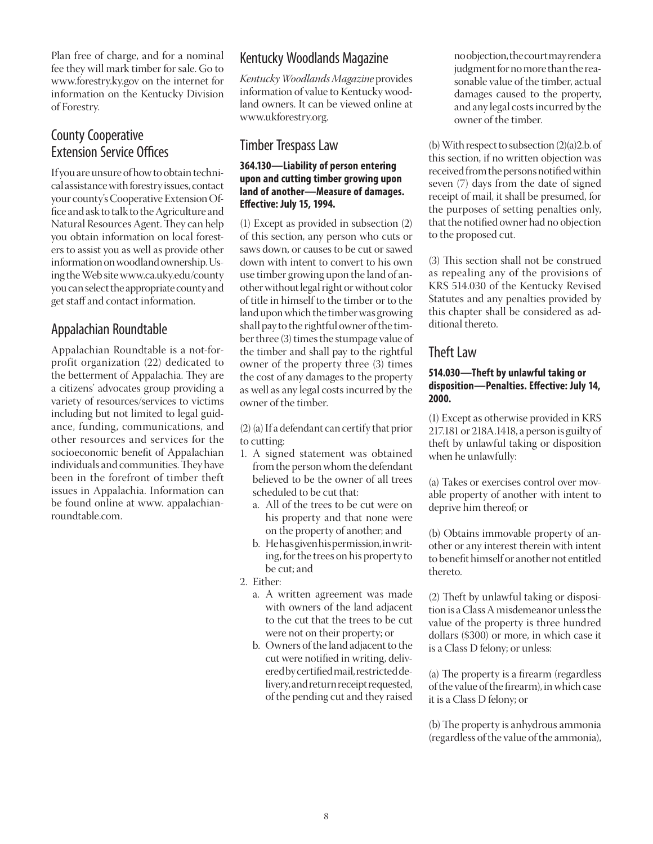Plan free of charge, and for a nominal fee they will mark timber for sale. Go to www.forestry.ky.gov on the internet for information on the Kentucky Division of Forestry.

### County Cooperative **Extension Service Offices**

If you are unsure of how to obtain technical assistance with forestry issues, contact your county's Cooperative Extension Office and ask to talk to the Agriculture and Natural Resources Agent. They can help you obtain information on local foresters to assist you as well as provide other information on woodland ownership. Using the Web site www.ca.uky.edu/county you can select the appropriate county and get staff and contact information.

#### Appalachian Roundtable

Appalachian Roundtable is a not-forprofit organization (22) dedicated to the betterment of Appalachia. They are a citizens' advocates group providing a variety of resources/services to victims including but not limited to legal guidance, funding, communications, and other resources and services for the socioeconomic benefit of Appalachian individuals and communities. They have been in the forefront of timber theft issues in Appalachia. Information can be found online at www. appalachianroundtable.com.

## Kentucky Woodlands Magazine

*Kentucky WoodlandsMagazine* provides information of value to Kentucky woodland owners. It can be viewed online at www.ukforestry.org.

#### Timber Trespass Law

#### **364.130—Liability of person entering upon and cutting timber growing upon land of another—Measure of damages. Eff ective: July 15, 1994.**

(1) Except as provided in subsection (2) of this section, any person who cuts or saws down, or causes to be cut or sawed down with intent to convert to his own use timber growing upon the land of another without legal right or without color of title in himself to the timber or to the land upon which the timber was growing shall pay to the rightful owner of the timber three (3) times the stumpage value of the timber and shall pay to the rightful owner of the property three (3) times the cost of any damages to the property as well as any legal costs incurred by the owner of the timber.

(2) (a) If a defendant can certify that prior to cutting:

- 1. A signed statement was obtained from the person whom the defendant believed to be the owner of all trees scheduled to be cut that:
	- a. All of the trees to be cut were on his property and that none were on the property of another; and
	- b. He has given his permission, in writing, for the trees on his property to be cut; and
- 2. Either:
	- a. A written agreement was made with owners of the land adjacent to the cut that the trees to be cut were not on their property; or
	- b. Owners of the land adjacent to the cut were notified in writing, delivered by certified mail, restricted delivery, and return receipt requested, of the pending cut and they raised

no objection, the court may render a judgment for no more than the reasonable value of the timber, actual damages caused to the property, and any legal costs incurred by the owner of the timber.

(b) With respect to subsection (2)(a)2.b. of this section, if no written objection was received from the persons notified within seven (7) days from the date of signed receipt of mail, it shall be presumed, for the purposes of setting penalties only, that the notified owner had no objection to the proposed cut.

(3) This section shall not be construed as repealing any of the provisions of KRS 514.030 of the Kentucky Revised Statutes and any penalties provided by this chapter shall be considered as additional thereto.

#### Theft Law

#### **514.030—Theft by unlawful taking or**  disposition-Penalties. Effective: July 14, **2000.**

(1) Except as otherwise provided in KRS 217.181 or 218A.1418, a person is guilty of theft by unlawful taking or disposition when he unlawfully:

(a) Takes or exercises control over movable property of another with intent to deprive him thereof; or

(b) Obtains immovable property of another or any interest therein with intent to benefit himself or another not entitled thereto.

(2) Theft by unlawful taking or disposition is a Class A misdemeanor unless the value of the property is three hundred dollars (\$300) or more, in which case it is a Class D felony; or unless:

(a) The property is a firearm (regardless of the value of the fi rearm), in which case it is a Class D felony; or

(b) The property is anhydrous ammonia (regardless of the value of the ammonia),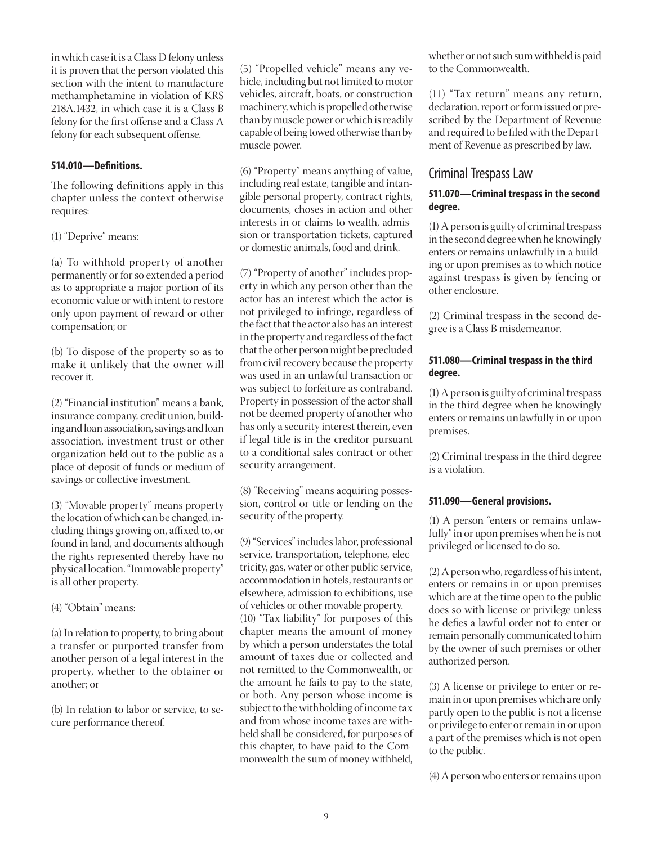in which case it is a Class D felony unless it is proven that the person violated this section with the intent to manufacture methamphetamine in violation of KRS 218A.1432, in which case it is a Class B felony for the first offense and a Class A felony for each subsequent offense.

#### **514.010—Defi nitions.**

The following definitions apply in this chapter unless the context otherwise requires:

(1) "Deprive" means:

(a) To withhold property of another permanently or for so extended a period as to appropriate a major portion of its economic value or with intent to restore only upon payment of reward or other compensation; or

(b) To dispose of the property so as to make it unlikely that the owner will recover it.

(2) "Financial institution" means a bank, insurance company, credit union, building and loan association, savings and loan association, investment trust or other organization held out to the public as a place of deposit of funds or medium of savings or collective investment.

(3) "Movable property" means property the location of which can be changed, including things growing on, affixed to, or found in land, and documents although the rights represented thereby have no physical location. "Immovable property" is all other property.

(4) "Obtain" means:

(a) In relation to property, to bring about a transfer or purported transfer from another person of a legal interest in the property, whether to the obtainer or another; or

(b) In relation to labor or service, to secure performance thereof.

(5) "Propelled vehicle" means any vehicle, including but not limited to motor vehicles, aircraft, boats, or construction machinery, which is propelled otherwise than by muscle power or which is readily capable of being towed otherwise than by muscle power.

(6) "Property" means anything of value, including real estate, tangible and intangible personal property, contract rights, documents, choses-in-action and other interests in or claims to wealth, admission or transportation tickets, captured or domestic animals, food and drink.

(7) "Property of another" includes property in which any person other than the actor has an interest which the actor is not privileged to infringe, regardless of the fact that the actor also has an interest in the property and regardless of the fact that the other person might be precluded from civil recovery because the property was used in an unlawful transaction or was subject to forfeiture as contraband. Property in possession of the actor shall not be deemed property of another who has only a security interest therein, even if legal title is in the creditor pursuant to a conditional sales contract or other security arrangement.

(8) "Receiving" means acquiring possession, control or title or lending on the security of the property.

(9) "Services" includes labor, professional service, transportation, telephone, electricity, gas, water or other public service, accommodation in hotels, restaurants or elsewhere, admission to exhibitions, use of vehicles or other movable property. (10) "Tax liability" for purposes of this chapter means the amount of money by which a person understates the total amount of taxes due or collected and not remitted to the Commonwealth, or the amount he fails to pay to the state, or both. Any person whose income is subject to the withholding of income tax and from whose income taxes are withheld shall be considered, for purposes of this chapter, to have paid to the Commonwealth the sum of money withheld,

whether or not such sum withheld is paid to the Commonwealth.

(11) "Tax return" means any return, declaration, report or form issued or prescribed by the Department of Revenue and required to be filed with the Department of Revenue as prescribed by law.

#### Criminal Trespass Law

#### **511.070—Criminal trespass in the second degree.**

(1) A person is guilty of criminal trespass in the second degree when he knowingly enters or remains unlawfully in a building or upon premises as to which notice against trespass is given by fencing or other enclosure.

(2) Criminal trespass in the second degree is a Class B misdemeanor.

#### **511.080—Criminal trespass in the third degree.**

(1) A person is guilty of criminal trespass in the third degree when he knowingly enters or remains unlawfully in or upon premises.

(2) Criminal trespass in the third degree is a violation.

#### **511.090—General provisions.**

(1) A person "enters or remains unlawfully" in or upon premises when he is not privileged or licensed to do so.

(2) A person who, regardless of his intent, enters or remains in or upon premises which are at the time open to the public does so with license or privilege unless he defies a lawful order not to enter or remain personally communicated to him by the owner of such premises or other authorized person.

(3) A license or privilege to enter or remain in or upon premises which are only partly open to the public is not a license or privilege to enter or remain in or upon a part of the premises which is not open to the public.

(4) A person who enters or remains upon